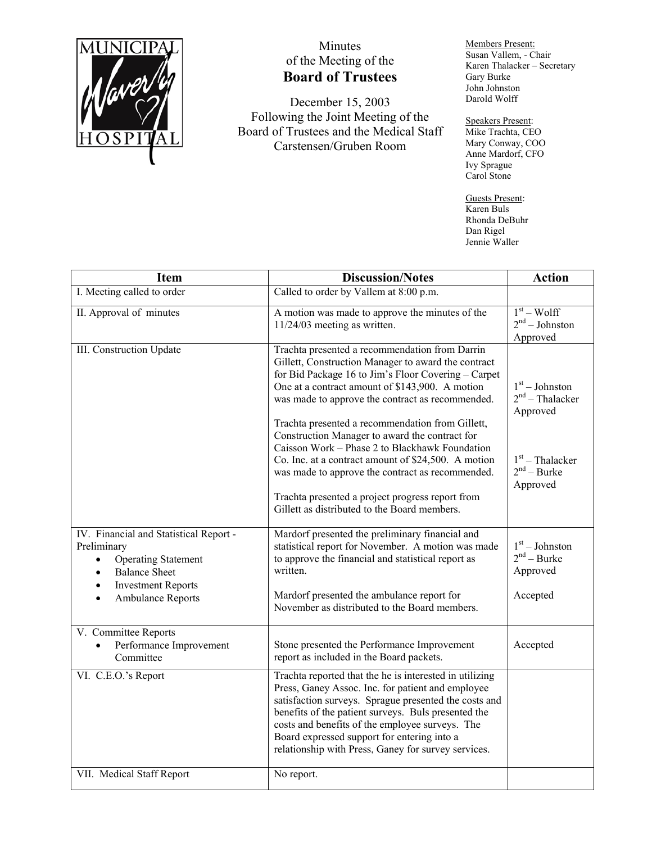

## Minutes of the Meeting of the **Board of Trustees**

December 15, 2003 Following the Joint Meeting of the Board of Trustees and the Medical Staff Carstensen/Gruben Room

Members Present: Susan Vallem, - Chair Karen Thalacker – Secretary Gary Burke John Johnston Darold Wolff

Speakers Present: Mike Trachta, CEO Mary Conway, COO Anne Mardorf, CFO Ivy Sprague Carol Stone

Guests Present: Karen Buls Rhonda DeBuhr Dan Rigel Jennie Waller

| Item                                                                                                                                                                           | <b>Discussion/Notes</b>                                                                                                                                                                                                                                                                                                                                                                                                                                                                                                                                                                                                                                                                       | <b>Action</b>                                                                                       |
|--------------------------------------------------------------------------------------------------------------------------------------------------------------------------------|-----------------------------------------------------------------------------------------------------------------------------------------------------------------------------------------------------------------------------------------------------------------------------------------------------------------------------------------------------------------------------------------------------------------------------------------------------------------------------------------------------------------------------------------------------------------------------------------------------------------------------------------------------------------------------------------------|-----------------------------------------------------------------------------------------------------|
| I. Meeting called to order                                                                                                                                                     | Called to order by Vallem at 8:00 p.m.                                                                                                                                                                                                                                                                                                                                                                                                                                                                                                                                                                                                                                                        |                                                                                                     |
| II. Approval of minutes                                                                                                                                                        | A motion was made to approve the minutes of the<br>$11/24/03$ meeting as written.                                                                                                                                                                                                                                                                                                                                                                                                                                                                                                                                                                                                             | $1st - Wolf$<br>$2nd - Johnston$<br>Approved                                                        |
| III. Construction Update<br>IV. Financial and Statistical Report -                                                                                                             | Trachta presented a recommendation from Darrin<br>Gillett, Construction Manager to award the contract<br>for Bid Package 16 to Jim's Floor Covering - Carpet<br>One at a contract amount of \$143,900. A motion<br>was made to approve the contract as recommended.<br>Trachta presented a recommendation from Gillett,<br>Construction Manager to award the contract for<br>Caisson Work - Phase 2 to Blackhawk Foundation<br>Co. Inc. at a contract amount of \$24,500. A motion<br>was made to approve the contract as recommended.<br>Trachta presented a project progress report from<br>Gillett as distributed to the Board members.<br>Mardorf presented the preliminary financial and | $1st - Johnston$<br>$2nd$ – Thalacker<br>Approved<br>$1st$ – Thalacker<br>$2nd - Burke$<br>Approved |
| Preliminary<br><b>Operating Statement</b><br>$\bullet$<br><b>Balance Sheet</b><br>$\bullet$<br><b>Investment Reports</b><br>$\bullet$<br><b>Ambulance Reports</b><br>$\bullet$ | statistical report for November. A motion was made<br>to approve the financial and statistical report as<br>written.<br>Mardorf presented the ambulance report for<br>November as distributed to the Board members.                                                                                                                                                                                                                                                                                                                                                                                                                                                                           | $1st - Johnston$<br>$2nd - Burke$<br>Approved<br>Accepted                                           |
| V. Committee Reports<br>Performance Improvement<br>Committee                                                                                                                   | Stone presented the Performance Improvement<br>report as included in the Board packets.                                                                                                                                                                                                                                                                                                                                                                                                                                                                                                                                                                                                       | Accepted                                                                                            |
| VI. C.E.O.'s Report                                                                                                                                                            | Trachta reported that the he is interested in utilizing<br>Press, Ganey Assoc. Inc. for patient and employee<br>satisfaction surveys. Sprague presented the costs and<br>benefits of the patient surveys. Buls presented the<br>costs and benefits of the employee surveys. The<br>Board expressed support for entering into a<br>relationship with Press, Ganey for survey services.                                                                                                                                                                                                                                                                                                         |                                                                                                     |
| VII. Medical Staff Report                                                                                                                                                      | No report.                                                                                                                                                                                                                                                                                                                                                                                                                                                                                                                                                                                                                                                                                    |                                                                                                     |